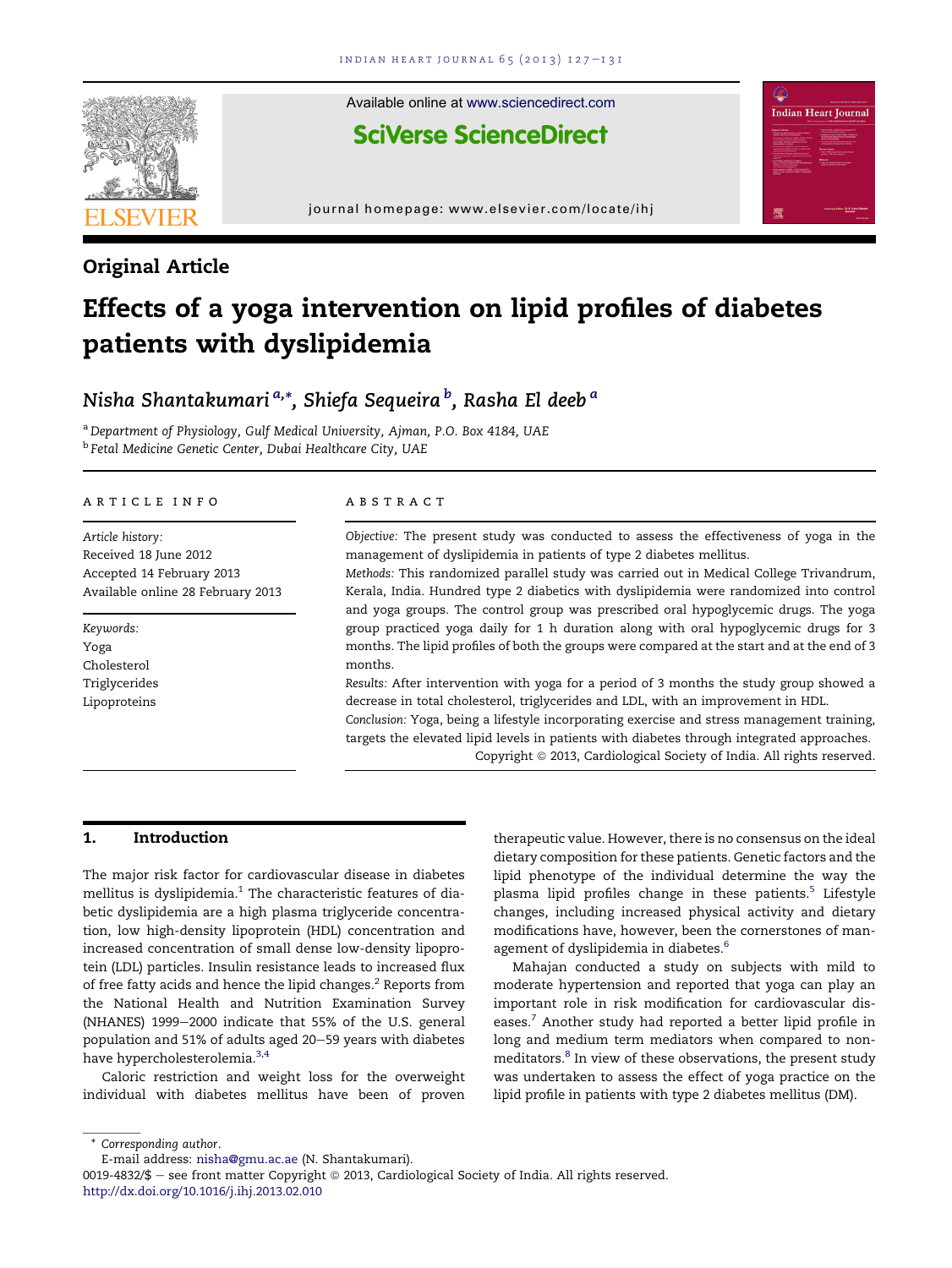

Available online at www.sciencedirect.com

**SciVerse ScienceDirect** 

journal homepage: www.elsevier.com/locate/ihj

# Original Article

# Effects of a yoga intervention on lipid profiles of diabetes patients with dyslipidemia

# Nisha Shantakumari<sup>a,</sup>\*, Shiefa Sequeira <sup>b</sup>, Rasha El deeb <sup>a</sup>

<sup>a</sup> *Department of Physiology, Gulf Medical University, Ajman, P.O. Box 4184, UAE* b *Fetal Medicine Genetic Center, Dubai Healthcare City, UAE*

#### article info

*Article history:* Received 18 June 2012 Accepted 14 February 2013 Available online 28 February 2013

*Keywords:* Yoga Cholesterol Triglycerides Lipoproteins

#### ABSTRACT

*Objective:* The present study was conducted to assess the effectiveness of yoga in the management of dyslipidemia in patients of type 2 diabetes mellitus.

*Methods:* This randomized parallel study was carried out in Medical College Trivandrum, Kerala, India. Hundred type 2 diabetics with dyslipidemia were randomized into control and yoga groups. The control group was prescribed oral hypoglycemic drugs. The yoga group practiced yoga daily for 1 h duration along with oral hypoglycemic drugs for 3 months. The lipid profiles of both the groups were compared at the start and at the end of 3 months.

*Results:* After intervention with yoga for a period of 3 months the study group showed a decrease in total cholesterol, triglycerides and LDL, with an improvement in HDL.

*Conclusion:* Yoga, being a lifestyle incorporating exercise and stress management training, targets the elevated lipid levels in patients with diabetes through integrated approaches. Copyright © 2013, Cardiological Society of India. All rights reserved.

# 1. Introduction

The major risk factor for cardiovascular disease in diabetes mellitus is dyslipidemia. $1$  The characteristic features of diabetic dyslipidemia are a high plasma triglyceride concentration, low high-density lipoprotein (HDL) concentration and increased concentration of small dense low-density lipoprotein (LDL) particles. Insulin resistance leads to increased flux of free fatty acids and hence the lipid changes.<sup>2</sup> Reports from the National Health and Nutrition Examination Survey (NHANES) 1999-2000 indicate that 55% of the U.S. general population and 51% of adults aged 20-59 years with diabetes have hypercholesterolemia.<sup>3,4</sup>

Caloric restriction and weight loss for the overweight individual with diabetes mellitus have been of proven

therapeutic value. However, there is no consensus on the ideal dietary composition for these patients. Genetic factors and the lipid phenotype of the individual determine the way the plasma lipid profiles change in these patients.<sup>5</sup> Lifestyle changes, including increased physical activity and dietary modifications have, however, been the cornerstones of management of dyslipidemia in diabetes.<sup>6</sup>

**Indian Heart Journal** 

Mahajan conducted a study on subjects with mild to moderate hypertension and reported that yoga can play an important role in risk modification for cardiovascular diseases.<sup>7</sup> Another study had reported a better lipid profile in long and medium term mediators when compared to nonmeditators.<sup>8</sup> In view of these observations, the present study was undertaken to assess the effect of yoga practice on the lipid profile in patients with type 2 diabetes mellitus (DM).

\* *Corresponding author*.

E-mail address: nisha@gmu.ac.ae (N. Shantakumari).

<sup>0019-4832/\$ -</sup> see front matter Copyright  $\odot$  2013, Cardiological Society of India. All rights reserved. http://dx.doi.org/10.1016/j.ihj.2013.02.010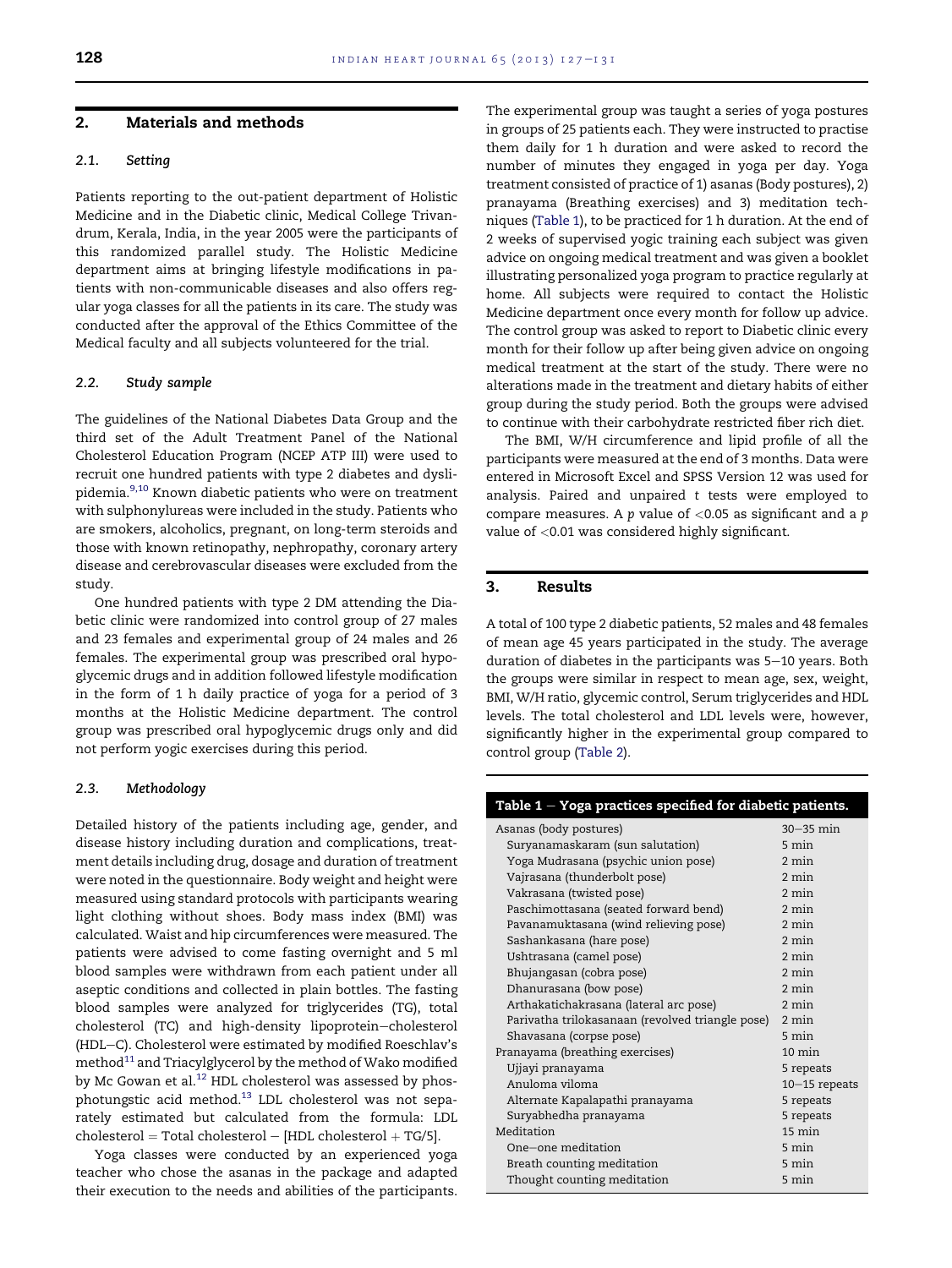### 2. Materials and methods

## 2.1. Setting

Patients reporting to the out-patient department of Holistic Medicine and in the Diabetic clinic, Medical College Trivandrum, Kerala, India, in the year 2005 were the participants of this randomized parallel study. The Holistic Medicine department aims at bringing lifestyle modifications in patients with non-communicable diseases and also offers regular yoga classes for all the patients in its care. The study was conducted after the approval of the Ethics Committee of the Medical faculty and all subjects volunteered for the trial.

#### 2.2. Study sample

The guidelines of the National Diabetes Data Group and the third set of the Adult Treatment Panel of the National Cholesterol Education Program (NCEP ATP III) were used to recruit one hundred patients with type 2 diabetes and dyslipidemia.9,10 Known diabetic patients who were on treatment with sulphonylureas were included in the study. Patients who are smokers, alcoholics, pregnant, on long-term steroids and those with known retinopathy, nephropathy, coronary artery disease and cerebrovascular diseases were excluded from the study.

One hundred patients with type 2 DM attending the Diabetic clinic were randomized into control group of 27 males and 23 females and experimental group of 24 males and 26 females. The experimental group was prescribed oral hypoglycemic drugs and in addition followed lifestyle modification in the form of 1 h daily practice of yoga for a period of 3 months at the Holistic Medicine department. The control group was prescribed oral hypoglycemic drugs only and did not perform yogic exercises during this period.

#### 2.3. Methodology

Detailed history of the patients including age, gender, and disease history including duration and complications, treatment details including drug, dosage and duration of treatment were noted in the questionnaire. Body weight and height were measured using standard protocols with participants wearing light clothing without shoes. Body mass index (BMI) was calculated. Waist and hip circumferences were measured. The patients were advised to come fasting overnight and 5 ml blood samples were withdrawn from each patient under all aseptic conditions and collected in plain bottles. The fasting blood samples were analyzed for triglycerides (TG), total cholesterol (TC) and high-density lipoprotein-cholesterol (HDL-C). Cholesterol were estimated by modified Roeschlav's method<sup>11</sup> and Triacylglycerol by the method of Wako modified by Mc Gowan et al.<sup>12</sup> HDL cholesterol was assessed by phosphotungstic acid method.<sup>13</sup> LDL cholesterol was not separately estimated but calculated from the formula: LDL  $cholesterol = Total cholesterol - [HDL cholesterol + TG/5].$ 

Yoga classes were conducted by an experienced yoga teacher who chose the asanas in the package and adapted their execution to the needs and abilities of the participants. The experimental group was taught a series of yoga postures in groups of 25 patients each. They were instructed to practise them daily for 1 h duration and were asked to record the number of minutes they engaged in yoga per day. Yoga treatment consisted of practice of 1) asanas (Body postures), 2) pranayama (Breathing exercises) and 3) meditation techniques (Table 1), to be practiced for 1 h duration. At the end of 2 weeks of supervised yogic training each subject was given advice on ongoing medical treatment and was given a booklet illustrating personalized yoga program to practice regularly at home. All subjects were required to contact the Holistic Medicine department once every month for follow up advice. The control group was asked to report to Diabetic clinic every month for their follow up after being given advice on ongoing medical treatment at the start of the study. There were no alterations made in the treatment and dietary habits of either group during the study period. Both the groups were advised to continue with their carbohydrate restricted fiber rich diet.

The BMI, W/H circumference and lipid profile of all the participants were measured at the end of 3 months. Data were entered in Microsoft Excel and SPSS Version 12 was used for analysis. Paired and unpaired *t* tests were employed to compare measures. A *p* value of <0.05 as significant and a *p* value of <0.01 was considered highly significant.

# 3. Results

A total of 100 type 2 diabetic patients, 52 males and 48 females of mean age 45 years participated in the study. The average duration of diabetes in the participants was 5-10 years. Both the groups were similar in respect to mean age, sex, weight, BMI, W/H ratio, glycemic control, Serum triglycerides and HDL levels. The total cholesterol and LDL levels were, however, significantly higher in the experimental group compared to control group (Table 2).

| Table 1 - Yoga practices specified for diabetic patients. |                  |
|-----------------------------------------------------------|------------------|
| Asanas (body postures)                                    | $30-35$ min      |
| Suryanamaskaram (sun salutation)                          | 5 min            |
| Yoga Mudrasana (psychic union pose)                       | $2 \text{ min}$  |
| Vajrasana (thunderbolt pose)                              | $2 \text{ min}$  |
| Vakrasana (twisted pose)                                  | $2 \text{ min}$  |
| Paschimottasana (seated forward bend)                     | $2 \text{ min}$  |
| Pavanamuktasana (wind relieving pose)                     | $2 \text{ min}$  |
| Sashankasana (hare pose)                                  | $2 \text{ min}$  |
| Ushtrasana (camel pose)                                   | $2 \text{ min}$  |
| Bhujangasan (cobra pose)                                  | $2 \text{ min}$  |
| Dhanurasana (bow pose)                                    | $2 \text{ min}$  |
| Arthakatichakrasana (lateral arc pose)                    | $2 \text{ min}$  |
| Parivatha trilokasanaan (revolved triangle pose)          | 2 min            |
| Shavasana (corpse pose)                                   | 5 min            |
| Pranayama (breathing exercises)                           | $10 \text{ min}$ |
| Ujjayi pranayama                                          | 5 repeats        |
| Anuloma viloma                                            | $10-15$ repeats  |
| Alternate Kapalapathi pranayama                           | 5 repeats        |
| Suryabhedha pranayama                                     | 5 repeats        |
| Meditation                                                | $15 \text{ min}$ |
| One-one meditation                                        | 5 min            |
| Breath counting meditation                                | $5 \text{ min}$  |
| Thought counting meditation                               | 5 min            |
|                                                           |                  |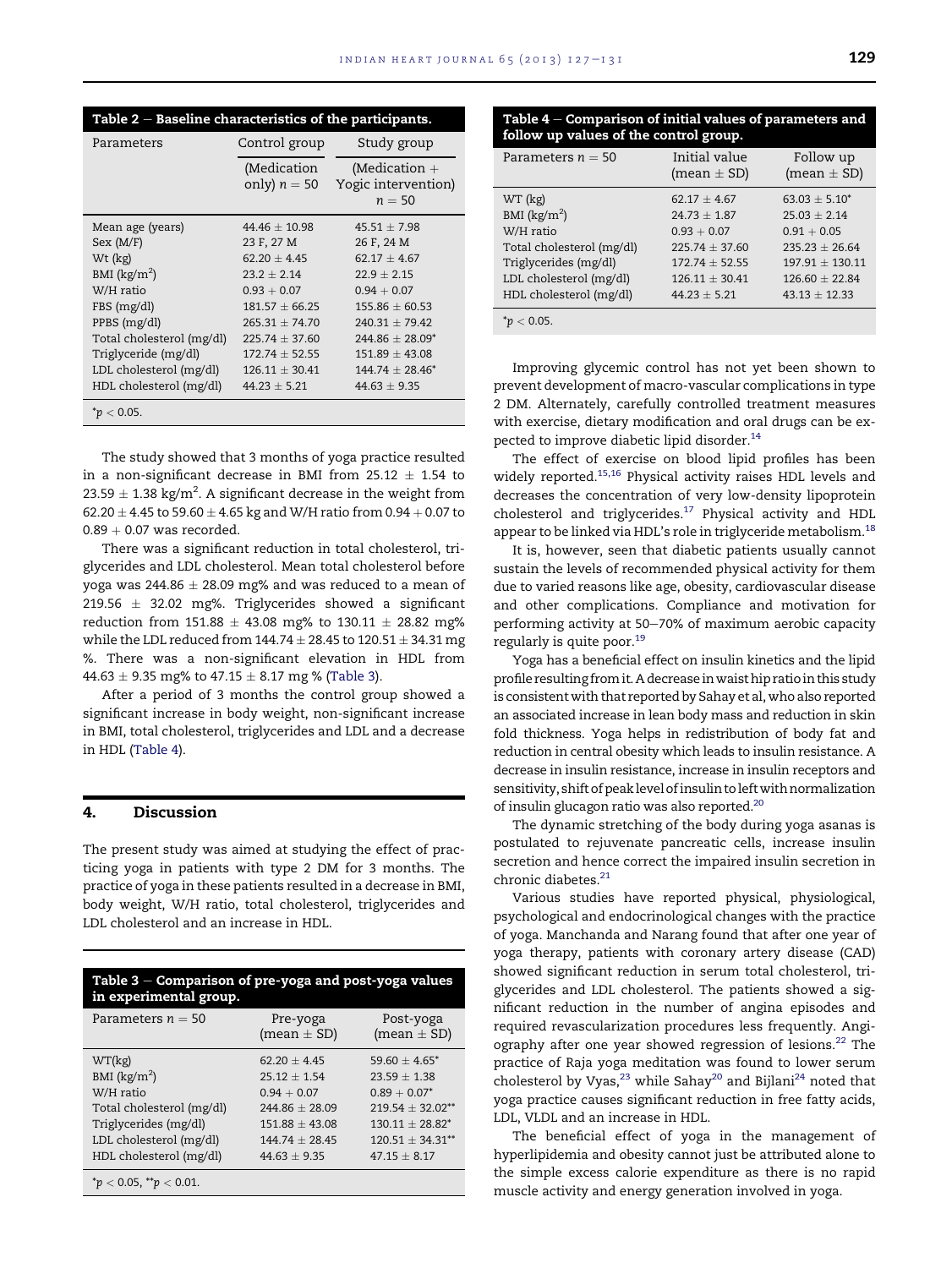| Table 2 – Baseline characteristics of the participants. |                               |                                                    |  |
|---------------------------------------------------------|-------------------------------|----------------------------------------------------|--|
| Parameters                                              | Control group                 | Study group                                        |  |
|                                                         | (Medication<br>only) $n = 50$ | (Medication $+$<br>Yogic intervention)<br>$n = 50$ |  |
| Mean age (years)                                        | $44.46 + 10.98$               | $45.51 \pm 7.98$                                   |  |
| Sex (M/F)                                               | 23 F, 27 M                    | 26 F, 24 M                                         |  |
| Wt (kg)                                                 | $62.20 + 4.45$                | $62.17 + 4.67$                                     |  |
| BMI $(kg/m^2)$                                          | $23.2 \pm 2.14$               | $22.9 \pm 2.15$                                    |  |
| W/H ratio                                               | $0.93 + 0.07$                 | $0.94 + 0.07$                                      |  |
| FBS (mg/dl)                                             | $181.57 \pm 66.25$            | $155.86 + 60.53$                                   |  |
| PPBS (mg/dl)                                            | $265.31 + 74.70$              | $240.31 + 79.42$                                   |  |
| Total cholesterol (mg/dl)                               | $225.74 \pm 37.60$            | $244.86 \pm 28.09^*$                               |  |
| Triglyceride (mg/dl)                                    | $172.74 \pm 52.55$            | $151.89 \pm 43.08$                                 |  |
| LDL cholesterol (mg/dl)                                 | $126.11 \pm 30.41$            | $144.74 + 28.46^*$                                 |  |
| HDL cholesterol (mg/dl)                                 | $44.23 + 5.21$                | $44.63 + 9.35$                                     |  |
| $^*p < 0.05$ .                                          |                               |                                                    |  |

The study showed that 3 months of yoga practice resulted in a non-significant decrease in BMI from 25.12  $\pm$  1.54 to 23.59  $\pm$  1.38 kg/m $^2$ . A significant decrease in the weight from 62.20  $\pm$  4.45 to 59.60  $\pm$  4.65 kg and W/H ratio from 0.94  $+$  0.07 to  $0.89 + 0.07$  was recorded.

There was a significant reduction in total cholesterol, triglycerides and LDL cholesterol. Mean total cholesterol before yoga was 244.86  $\pm$  28.09 mg% and was reduced to a mean of 219.56  $\pm$  32.02 mg%. Triglycerides showed a significant reduction from 151.88  $\pm$  43.08 mg% to 130.11  $\pm$  28.82 mg% while the LDL reduced from 144.74  $\pm$  28.45 to 120.51  $\pm$  34.31 mg %. There was a non-significant elevation in HDL from  $44.63 \pm 9.35$  mg% to  $47.15 \pm 8.17$  mg % (Table 3).

After a period of 3 months the control group showed a significant increase in body weight, non-significant increase in BMI, total cholesterol, triglycerides and LDL and a decrease in HDL (Table 4).

#### 4. Discussion

The present study was aimed at studying the effect of practicing yoga in patients with type 2 DM for 3 months. The practice of yoga in these patients resulted in a decrease in BMI, body weight, W/H ratio, total cholesterol, triglycerides and LDL cholesterol and an increase in HDL.

| Table 3 – Comparison of pre-yoga and post-yoga values<br>in experimental group.                          |                                                                              |                                                                                  |  |
|----------------------------------------------------------------------------------------------------------|------------------------------------------------------------------------------|----------------------------------------------------------------------------------|--|
| Parameters $n = 50$                                                                                      | Pre-yoga<br>(mean $\pm$ SD)                                                  | Post-yoga<br>(mean $\pm$ SD)                                                     |  |
| WT(kg)<br>BMI $(kg/m^2)$<br>W/H ratio                                                                    | $62.20 + 4.45$<br>$25.12 \pm 1.54$<br>$0.94 + 0.07$                          | $59.60 + 4.65^*$<br>$23.59 + 1.38$<br>$0.89 + 0.07*$                             |  |
| Total cholesterol (mg/dl)<br>Triglycerides (mg/dl)<br>LDL cholesterol (mg/dl)<br>HDL cholesterol (mg/dl) | $244.86 + 28.09$<br>$151.88 \pm 43.08$<br>$144.74 + 28.45$<br>$44.63 + 9.35$ | $219.54 + 32.02**$<br>$130.11 + 28.82^*$<br>$120.51 + 34.31**$<br>$47.15 + 8.17$ |  |
| $*_p$ < 0.05, $*_p$ < 0.01.                                                                              |                                                                              |                                                                                  |  |

|  | Table $4$ – Comparison of initial values of parameters and                                                                                                                                                                        |  |
|--|-----------------------------------------------------------------------------------------------------------------------------------------------------------------------------------------------------------------------------------|--|
|  | $\mathcal{L}$ and the contract of the contract of the contract of the contract of the contract of the contract of the contract of the contract of the contract of the contract of the contract of the contract of the contract of |  |

| follow up values of the control group. |                                  |                              |  |
|----------------------------------------|----------------------------------|------------------------------|--|
| Parameters $n = 50$                    | Initial value<br>(mean $\pm$ SD) | Follow up<br>(mean $\pm$ SD) |  |
| WT (kg)                                | $62.17 \pm 4.67$                 | $63.03 + 5.10^*$             |  |
| BMI $(kg/m2)$                          | $24.73 \pm 1.87$                 | $25.03 + 2.14$               |  |
| W/H ratio                              | $0.93 + 0.07$                    | $0.91 + 0.05$                |  |
| Total cholesterol (mg/dl)              | $225.74 \pm 37.60$               | $235.23 + 26.64$             |  |
| Triglycerides (mg/dl)                  | $172.74 + 52.55$                 | $197.91 + 130.11$            |  |
| LDL cholesterol (mg/dl)                | $126.11 + 30.41$                 | $126.60 + 22.84$             |  |
| HDL cholesterol (mg/dl)                | $44.23 + 5.21$                   | $43.13 + 12.33$              |  |
| $^*p < 0.05$ .                         |                                  |                              |  |

Improving glycemic control has not yet been shown to prevent development of macro-vascular complications in type 2 DM. Alternately, carefully controlled treatment measures with exercise, dietary modification and oral drugs can be expected to improve diabetic lipid disorder.<sup>14</sup>

The effect of exercise on blood lipid profiles has been widely reported.<sup>15,16</sup> Physical activity raises HDL levels and decreases the concentration of very low-density lipoprotein cholesterol and triglycerides.<sup>17</sup> Physical activity and HDL appear to be linked via HDL's role in triglyceride metabolism.<sup>18</sup>

It is, however, seen that diabetic patients usually cannot sustain the levels of recommended physical activity for them due to varied reasons like age, obesity, cardiovascular disease and other complications. Compliance and motivation for performing activity at 50–70% of maximum aerobic capacity regularly is quite poor.<sup>19</sup>

Yoga has a beneficial effect on insulin kinetics and the lipid profile resulting from it. A decrease inwaist hip ratio in this study is consistent with that reported by Sahay et al, who also reported an associated increase in lean body mass and reduction in skin fold thickness. Yoga helps in redistribution of body fat and reduction in central obesity which leads to insulin resistance. A decrease in insulin resistance, increase in insulin receptors and sensitivity, shift of peak level of insulin to left with normalization of insulin glucagon ratio was also reported.<sup>20</sup>

The dynamic stretching of the body during yoga asanas is postulated to rejuvenate pancreatic cells, increase insulin secretion and hence correct the impaired insulin secretion in chronic diabetes.<sup>21</sup>

Various studies have reported physical, physiological, psychological and endocrinological changes with the practice of yoga. Manchanda and Narang found that after one year of yoga therapy, patients with coronary artery disease (CAD) showed significant reduction in serum total cholesterol, triglycerides and LDL cholesterol. The patients showed a significant reduction in the number of angina episodes and required revascularization procedures less frequently. Angiography after one year showed regression of lesions. $22$  The practice of Raja yoga meditation was found to lower serum cholesterol by Vyas, $^{23}$  while Sahay $^{20}$  and Bijlani $^{24}$  noted that yoga practice causes significant reduction in free fatty acids, LDL, VLDL and an increase in HDL.

The beneficial effect of yoga in the management of hyperlipidemia and obesity cannot just be attributed alone to the simple excess calorie expenditure as there is no rapid muscle activity and energy generation involved in yoga.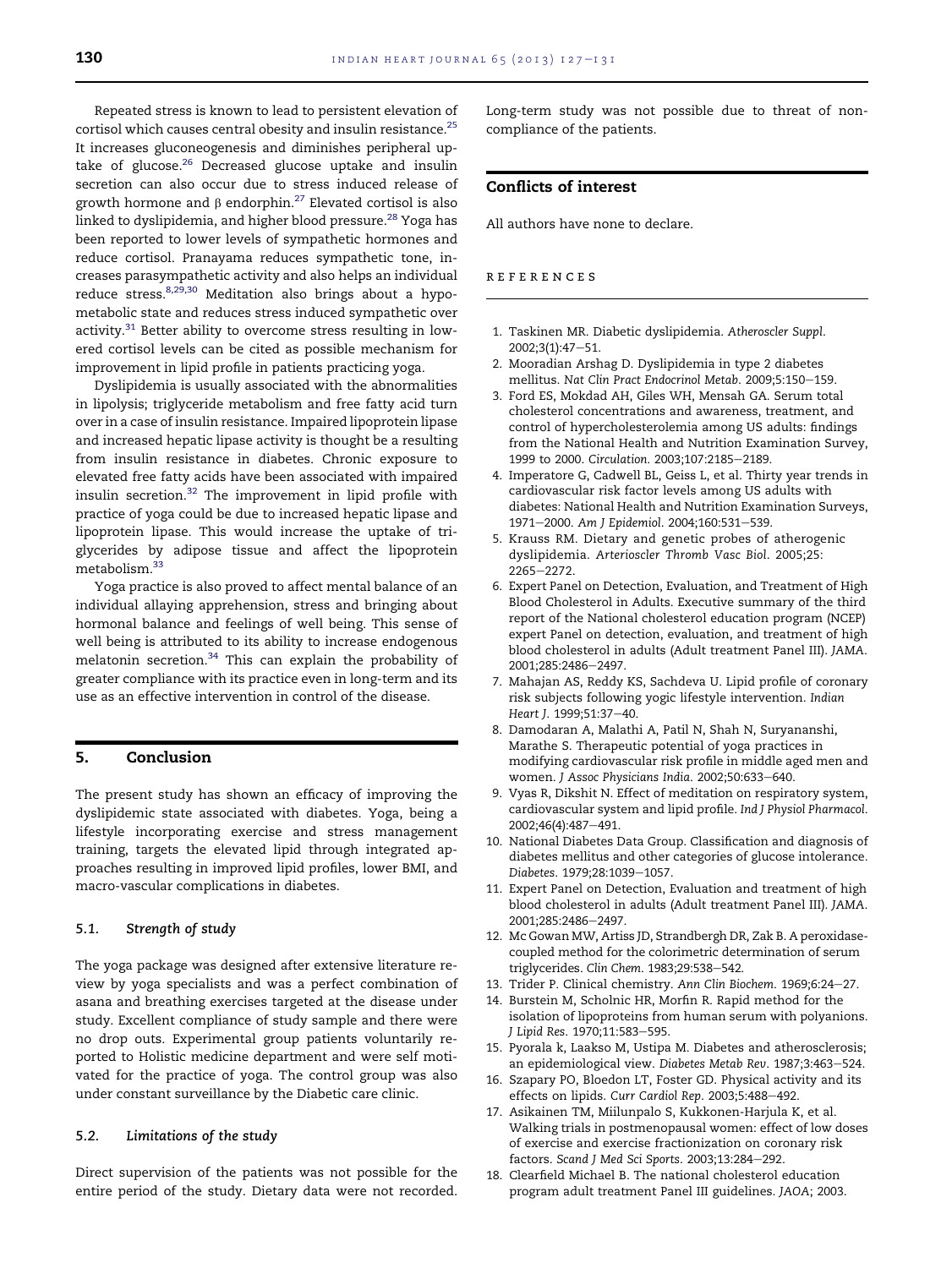Repeated stress is known to lead to persistent elevation of cortisol which causes central obesity and insulin resistance.<sup>25</sup> It increases gluconeogenesis and diminishes peripheral uptake of glucose. $26$  Decreased glucose uptake and insulin secretion can also occur due to stress induced release of growth hormone and  $\beta$  endorphin.<sup>27</sup> Elevated cortisol is also linked to dyslipidemia, and higher blood pressure.<sup>28</sup> Yoga has been reported to lower levels of sympathetic hormones and reduce cortisol. Pranayama reduces sympathetic tone, increases parasympathetic activity and also helps an individual reduce stress.  $8,29,30$  Meditation also brings about a hypometabolic state and reduces stress induced sympathetic over activity. $31$  Better ability to overcome stress resulting in lowered cortisol levels can be cited as possible mechanism for improvement in lipid profile in patients practicing yoga.

Dyslipidemia is usually associated with the abnormalities in lipolysis; triglyceride metabolism and free fatty acid turn over in a case of insulin resistance. Impaired lipoprotein lipase and increased hepatic lipase activity is thought be a resulting from insulin resistance in diabetes. Chronic exposure to elevated free fatty acids have been associated with impaired insulin secretion.<sup>32</sup> The improvement in lipid profile with practice of yoga could be due to increased hepatic lipase and lipoprotein lipase. This would increase the uptake of triglycerides by adipose tissue and affect the lipoprotein metabolism.<sup>33</sup>

Yoga practice is also proved to affect mental balance of an individual allaying apprehension, stress and bringing about hormonal balance and feelings of well being. This sense of well being is attributed to its ability to increase endogenous melatonin secretion.<sup>34</sup> This can explain the probability of greater compliance with its practice even in long-term and its use as an effective intervention in control of the disease.

# 5. Conclusion

The present study has shown an efficacy of improving the dyslipidemic state associated with diabetes. Yoga, being a lifestyle incorporating exercise and stress management training, targets the elevated lipid through integrated approaches resulting in improved lipid profiles, lower BMI, and macro-vascular complications in diabetes.

#### 5.1. Strength of study

The yoga package was designed after extensive literature review by yoga specialists and was a perfect combination of asana and breathing exercises targeted at the disease under study. Excellent compliance of study sample and there were no drop outs. Experimental group patients voluntarily reported to Holistic medicine department and were self motivated for the practice of yoga. The control group was also under constant surveillance by the Diabetic care clinic.

#### 5.2. Limitations of the study

Direct supervision of the patients was not possible for the entire period of the study. Dietary data were not recorded. Long-term study was not possible due to threat of noncompliance of the patients.

## Conflicts of interest

All authors have none to declare.

#### references

- 1. Taskinen MR. Diabetic dyslipidemia. *Atheroscler Suppl*.  $2002;3(1):47-51.$
- 2. Mooradian Arshag D. Dyslipidemia in type 2 diabetes mellitus. Nat Clin Pract Endocrinol Metab. 2009;5:150-159.
- 3. Ford ES, Mokdad AH, Giles WH, Mensah GA. Serum total cholesterol concentrations and awareness, treatment, and control of hypercholesterolemia among US adults: findings from the National Health and Nutrition Examination Survey, 1999 to 2000. Circulation. 2003;107:2185-2189.
- 4. Imperatore G, Cadwell BL, Geiss L, et al. Thirty year trends in cardiovascular risk factor levels among US adults with diabetes: National Health and Nutrition Examination Surveys, 1971-2000. Am J Epidemiol. 2004;160:531-539.
- 5. Krauss RM. Dietary and genetic probes of atherogenic dyslipidemia. *Arterioscler Thromb Vasc Biol*. 2005;25: 2265-2272.
- 6. Expert Panel on Detection, Evaluation, and Treatment of High Blood Cholesterol in Adults. Executive summary of the third report of the National cholesterol education program (NCEP) expert Panel on detection, evaluation, and treatment of high blood cholesterol in adults (Adult treatment Panel III). *JAMA*. 2001;285:2486-2497.
- 7. Mahajan AS, Reddy KS, Sachdeva U. Lipid profile of coronary risk subjects following yogic lifestyle intervention. *Indian* Heart J. 1999;51:37-40.
- 8. Damodaran A, Malathi A, Patil N, Shah N, Suryananshi, Marathe S. Therapeutic potential of yoga practices in modifying cardiovascular risk profile in middle aged men and women. *J Assoc Physicians India*. 2002;50:633-640.
- 9. Vyas R, Dikshit N. Effect of meditation on respiratory system, cardiovascular system and lipid profile. *Ind J Physiol Pharmacol*. 2002;46(4):487-491.
- 10. National Diabetes Data Group. Classification and diagnosis of diabetes mellitus and other categories of glucose intolerance. Diabetes. 1979;28:1039-1057.
- 11. Expert Panel on Detection, Evaluation and treatment of high blood cholesterol in adults (Adult treatment Panel III). *JAMA*. 2001;285:2486-2497.
- 12. Mc Gowan MW, Artiss JD, Strandbergh DR, Zak B. A peroxidasecoupled method for the colorimetric determination of serum triglycerides. Clin Chem. 1983;29:538-542.
- 13. Trider P. Clinical chemistry. Ann Clin Biochem. 1969;6:24-27.
- 14. Burstein M, Scholnic HR, Morfin R. Rapid method for the isolation of lipoproteins from human serum with polyanions. *J Lipid Res.* 1970;11:583-595.
- 15. Pyorala k, Laakso M, Ustipa M. Diabetes and atherosclerosis; an epidemiological view. Diabetes Metab Rev. 1987;3:463-524.
- 16. Szapary PO, Bloedon LT, Foster GD. Physical activity and its effects on lipids. Curr Cardiol Rep. 2003;5:488-492.
- 17. Asikainen TM, Miilunpalo S, Kukkonen-Harjula K, et al. Walking trials in postmenopausal women: effect of low doses of exercise and exercise fractionization on coronary risk factors. Scand J Med Sci Sports. 2003;13:284-292.
- 18. Clearfield Michael B. The national cholesterol education program adult treatment Panel III guidelines. *JAOA*; 2003.